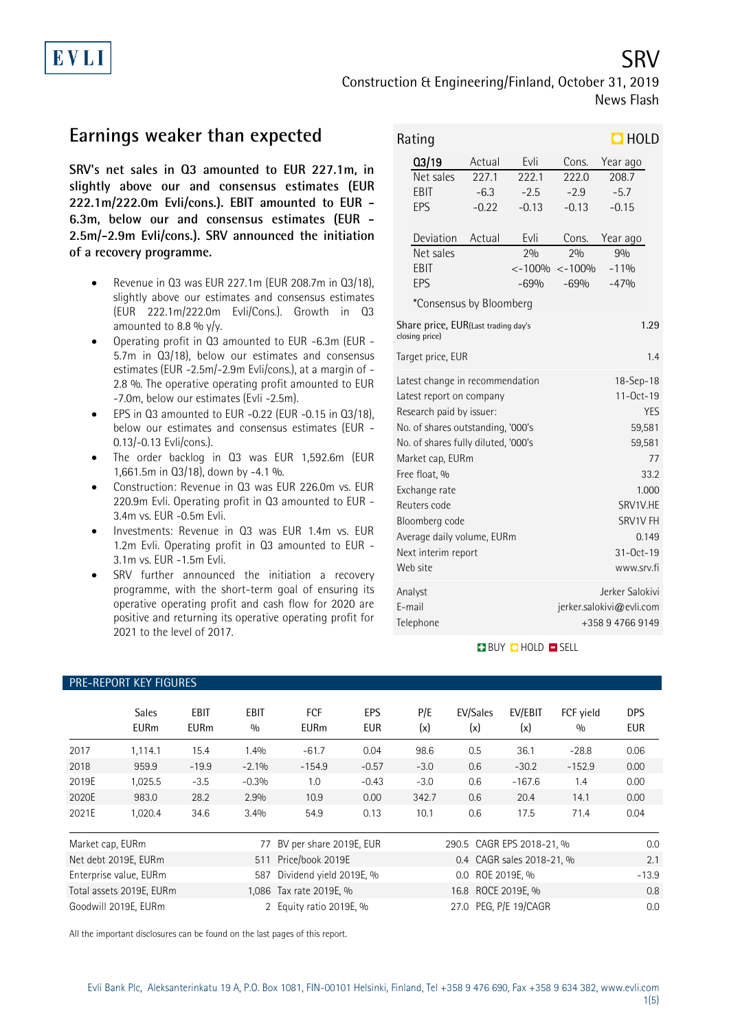Construction & Engineering/Finland, October 31, 2019 News Flash

# **Earnings weaker than expected**

**SRV's net sales in Q3 amounted to EUR 227.1m, in slightly above our and consensus estimates (EUR 222.1m/222.0m Evli/cons.). EBIT amounted to EUR - 6.3m, below our and consensus estimates (EUR - 2.5m/-2.9m Evli/cons.). SRV announced the initiation of a recovery programme.**

- Revenue in Q3 was EUR 227.1m (EUR 208.7m in Q3/18), slightly above our estimates and consensus estimates (EUR 222.1m/222.0m Evli/Cons.). Growth in Q3 amounted to 8.8 %  $y/y$ .
- Operating profit in Q3 amounted to EUR -6.3m (EUR 5.7m in Q3/18), below our estimates and consensus estimates (EUR -2.5m/-2.9m Evli/cons.), at a margin of - 2.8 %. The operative operating profit amounted to EUR -7.0m, below our estimates (Evli -2.5m).
- EPS in Q3 amounted to EUR -0.22 (EUR -0.15 in Q3/18), below our estimates and consensus estimates (EUR - 0.13/-0.13 Evli/cons.).
- The order backlog in Q3 was EUR 1,592.6m (EUR 1,661.5m in Q3/18), down by -4.1 %.
- Construction: Revenue in Q3 was EUR 226.0m vs. EUR 220.9m Evli. Operating profit in Q3 amounted to EUR - 3.4m vs. EUR -0.5m Evli.
- Investments: Revenue in Q3 was EUR 1.4m vs. EUR 1.2m Evli. Operating profit in Q3 amounted to EUR - 3.1m vs. EUR -1.5m Evli.
- SRV further announced the initiation a recovery programme, with the short-term goal of ensuring its operative operating profit and cash flow for 2020 are positive and returning its operative operating profit for 2021 to the level of 2017.

| Rating                                                        |                          |                          |                 | $\Box$ HOLD     |  |  |  |  |  |
|---------------------------------------------------------------|--------------------------|--------------------------|-----------------|-----------------|--|--|--|--|--|
| Q3/19                                                         | Actual                   | Evli                     | Cons.           | Year ago        |  |  |  |  |  |
| Net sales                                                     | 227.1                    | 222.1                    | 222.0           | 208.7           |  |  |  |  |  |
| EBIT                                                          | $-6.3$                   | $-2.5$                   | $-2.9$          | $-5.7$          |  |  |  |  |  |
| EPS                                                           | $-0.22$                  | $-0.13$                  | $-0.13$         | $-0.15$         |  |  |  |  |  |
| Deviation                                                     | Actual                   | Evli                     | Cons.           | Year ago        |  |  |  |  |  |
| Net sales                                                     |                          | 20/n                     | 20/0            | 90/0            |  |  |  |  |  |
| EBIT                                                          |                          | $< -100%$                | $< -100%$       | $-119/0$        |  |  |  |  |  |
| EPS                                                           |                          | $-69%$                   | $-69%$          | $-47%$          |  |  |  |  |  |
| *Consensus by Bloomberg                                       |                          |                          |                 |                 |  |  |  |  |  |
| Share price, EUR(Last trading day's<br>1.29<br>closing price) |                          |                          |                 |                 |  |  |  |  |  |
|                                                               | 1.4<br>Target price, EUR |                          |                 |                 |  |  |  |  |  |
| Latest change in recommendation                               |                          |                          | 18-Sep-18       |                 |  |  |  |  |  |
| Latest report on company                                      |                          |                          | $11 - 0ct - 19$ |                 |  |  |  |  |  |
| Research paid by issuer:                                      |                          |                          | <b>YES</b>      |                 |  |  |  |  |  |
| No. of shares outstanding, '000's                             |                          |                          |                 | 59,581          |  |  |  |  |  |
| No. of shares fully diluted, '000's                           |                          |                          | 59,581          |                 |  |  |  |  |  |
| Market cap, EURm<br>77                                        |                          |                          |                 |                 |  |  |  |  |  |
| Free float, %                                                 |                          |                          |                 | 33.2            |  |  |  |  |  |
| Exchange rate                                                 |                          |                          |                 | 1.000           |  |  |  |  |  |
| Reuters code                                                  |                          |                          |                 | SRV1V.HE        |  |  |  |  |  |
| Bloomberg code                                                |                          |                          |                 | SRV1V FH        |  |  |  |  |  |
| Average daily volume, EURm                                    |                          |                          |                 | 0.149           |  |  |  |  |  |
| Next interim report                                           |                          | 31-Oct-19                |                 |                 |  |  |  |  |  |
| Web site                                                      |                          |                          |                 | www.srv.fi      |  |  |  |  |  |
| Analyst                                                       |                          |                          |                 | Jerker Salokivi |  |  |  |  |  |
| E-mail                                                        |                          | jerker.salokivi@evli.com |                 |                 |  |  |  |  |  |
| Telephone                                                     |                          |                          |                 | +358947669149   |  |  |  |  |  |

### **BUY CHOLD SELL**

|                                                   | <b>Sales</b><br><b>EURm</b> | EBIT<br><b>EURm</b> | <b>EBIT</b><br>0/0 | <b>FCF</b><br><b>EURm</b> | <b>EPS</b><br><b>EUR</b>  | P/E<br>(x)         | EV/Sales<br>(x)       | EV/EBIT<br>(x)            | FCF vield<br>0/0 | <b>DPS</b><br>EUR |
|---------------------------------------------------|-----------------------------|---------------------|--------------------|---------------------------|---------------------------|--------------------|-----------------------|---------------------------|------------------|-------------------|
| 2017                                              | 1,114.1                     | 15.4                | 1.4%               | $-61.7$                   | 0.04                      | 98.6               | 0.5                   | 36.1                      | $-28.8$          | 0.06              |
| 2018                                              | 959.9                       | $-19.9$             | $-2.1\%$           | $-154.9$                  | $-0.57$                   | $-3.0$             | 0.6                   | $-30.2$                   | $-152.9$         | 0.00              |
| 2019E                                             | 1,025.5                     | $-3.5$              | $-0.3%$            | 1.0                       | $-0.43$                   | $-3.0$             | 0.6                   | $-167.6$                  | 1.4              | 0.00              |
| 2020E                                             | 983.0                       | 28.2                | 2.9%               | 10.9                      | 0.00                      | 342.7              | 0.6                   | 20.4                      | 14.1             | 0.00              |
| 2021E                                             | 1,020.4                     | 34.6                | 3.4%               | 54.9                      | 0.13                      | 10.1               | 0.6                   | 17.5                      | 71.4             | 0.04              |
| BV per share 2019E, EUR<br>Market cap, EURm<br>77 |                             |                     |                    |                           | 290.5 CAGR EPS 2018-21, % |                    |                       | 0.0                       |                  |                   |
|                                                   | Net debt 2019E, EURm        |                     | 511                | Price/book 2019E          |                           |                    |                       | 0.4 CAGR sales 2018-21, % |                  | 2.1               |
|                                                   | Enterprise value, EURm      |                     | 587                | Dividend yield 2019E, %   |                           | 0.0 ROE 2019E, %   |                       |                           |                  | $-13.9$           |
|                                                   | Total assets 2019E, EURm    |                     |                    | 1,086 Tax rate 2019E, %   |                           | 16.8 ROCE 2019E. % |                       |                           |                  | 0.8               |
|                                                   | Goodwill 2019E, EURm        |                     | 2                  | Equity ratio 2019E, %     |                           |                    | 27.0 PEG, P/E 19/CAGR |                           |                  | 0.0               |

All the important disclosures can be found on the last pages of this report.

SRV

# PRE-REPORT KEY FIGURES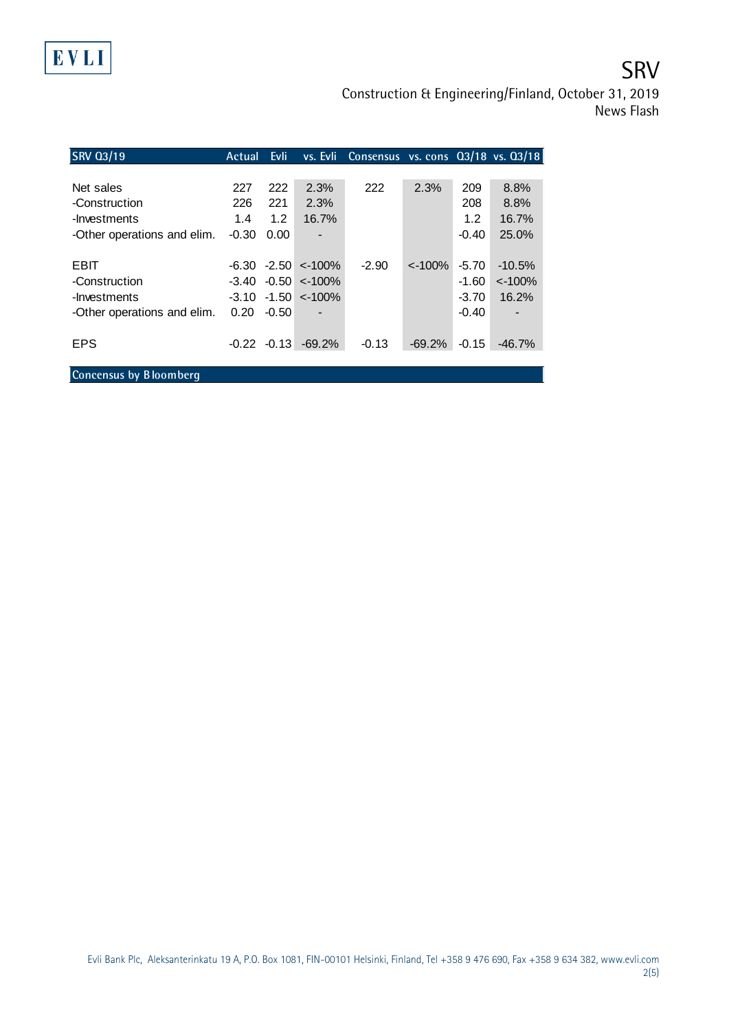

**SRV** 

Construction & Engineering/Finland, October 31, 2019 News Flash

| <b>SRV 03/19</b>            | Actual  | Evli:   |                             | vs. Evli Consensus vs. cons 03/18 vs. 03/18 |           |         |                |
|-----------------------------|---------|---------|-----------------------------|---------------------------------------------|-----------|---------|----------------|
|                             |         |         |                             |                                             |           |         |                |
| Net sales                   | 227     | 222     | 2.3%                        | 222                                         | 2.3%      | 209     | 8.8%           |
| -Construction               | 226     | 221     | 2.3%                        |                                             |           | 208     | 8.8%           |
| -Investments                | 1.4     | 1.2     | 16.7%                       |                                             |           | 1.2     | 16.7%          |
| -Other operations and elim. | $-0.30$ | 0.00    |                             |                                             |           | $-0.40$ | 25.0%          |
|                             |         |         |                             |                                             |           |         |                |
| EBIT                        |         |         | $-6.30 -2.50 < -100\%$      | $-2.90$                                     | $< -100%$ | $-5.70$ | $-10.5%$       |
| -Construction               | -3.40   |         | $-0.50$ < -100%             |                                             |           | $-1.60$ | $< -100%$      |
| -Investments                |         |         | $-3.10$ $-1.50$ $\lt$ -100% |                                             |           | $-3.70$ | 16.2%          |
| -Other operations and elim. | 0.20    | $-0.50$ | $\blacksquare$              |                                             |           | $-0.40$ | $\blacksquare$ |
|                             |         |         |                             |                                             |           |         |                |
| <b>EPS</b>                  | -0.22   | $-0.13$ | $-69.2%$                    | $-0.13$                                     | $-69.2%$  | $-0.15$ | $-46.7%$       |
|                             |         |         |                             |                                             |           |         |                |
| Concensus by Bloomberg      |         |         |                             |                                             |           |         |                |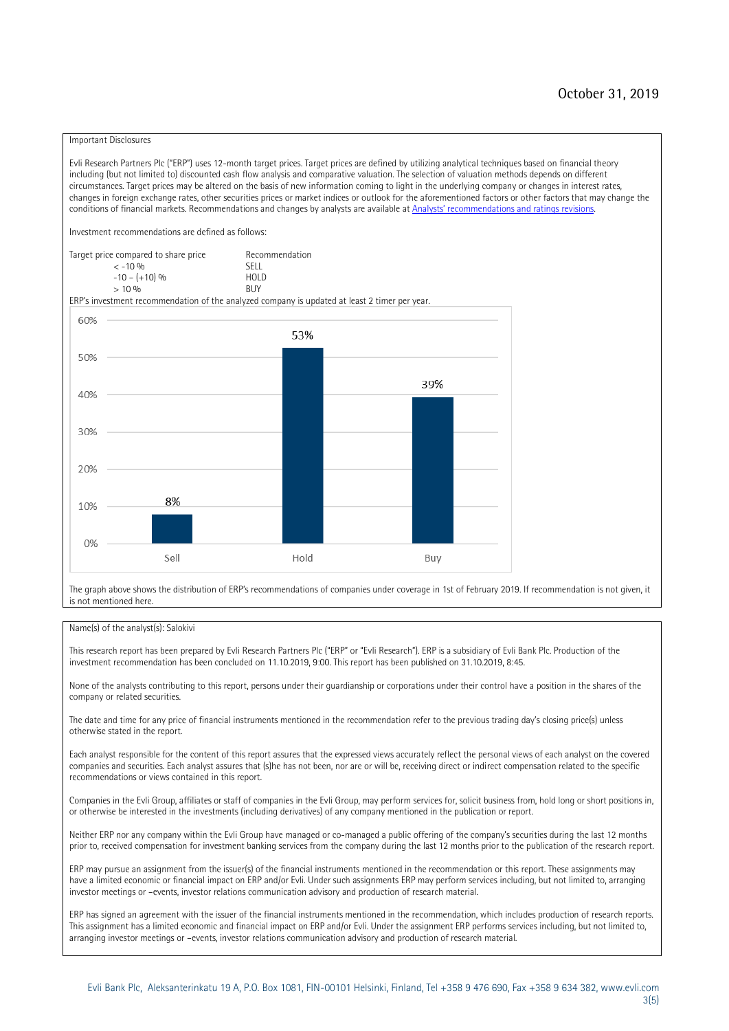### Important Disclosures

Evli Research Partners Plc ("ERP") uses 12-month target prices. Target prices are defined by utilizing analytical techniques based on financial theory including (but not limited to) discounted cash flow analysis and comparative valuation. The selection of valuation methods depends on different circumstances. Target prices may be altered on the basis of new information coming to light in the underlying company or changes in interest rates, changes in foreign exchange rates, other securities prices or market indices or outlook for the aforementioned factors or other factors that may change the conditions of financial markets. Recommendations and changes by analysts are available at Analysts' recomm[endations and ratings revisions.](https://research.evli.com/JasperAllModels.action?authParam=key;461&authParam=x;G3rNagWrtf7K&authType=3) Investment recommendations are defined as follows: Target price compared to share price Recommendation<br> $\leq 10\%$  $\langle 5, 10, 10 \rangle$  SELL<br>  $\langle -10, 6, 10 \rangle$  SELL<br>  $\langle 10, 10, 10 \rangle$  $-10 - (+10) \%$  HOLD<br>> 10 % BUY  $> 10\%$ ERP's investment recommendation of the analyzed company is updated at least 2 timer per year. 60% 53% 50% 39% 40% 30%  $20%$ 8% 10% 0% Sell Hold Buy

The graph above shows the distribution of ERP's recommendations of companies under coverage in 1st of February 2019. If recommendation is not given, it is not mentioned here.

#### Name(s) of the analyst(s): Salokivi

This research report has been prepared by Evli Research Partners Plc ("ERP" or "Evli Research"). ERP is a subsidiary of Evli Bank Plc. Production of the investment recommendation has been concluded on 11.10.2019, 9:00. This report has been published on 31.10.2019, 8:45.

None of the analysts contributing to this report, persons under their guardianship or corporations under their control have a position in the shares of the company or related securities.

The date and time for any price of financial instruments mentioned in the recommendation refer to the previous trading day's closing price(s) unless otherwise stated in the report.

Each analyst responsible for the content of this report assures that the expressed views accurately reflect the personal views of each analyst on the covered companies and securities. Each analyst assures that (s)he has not been, nor are or will be, receiving direct or indirect compensation related to the specific recommendations or views contained in this report.

Companies in the Evli Group, affiliates or staff of companies in the Evli Group, may perform services for, solicit business from, hold long or short positions in, or otherwise be interested in the investments (including derivatives) of any company mentioned in the publication or report.

Neither ERP nor any company within the Evli Group have managed or co-managed a public offering of the company's securities during the last 12 months prior to, received compensation for investment banking services from the company during the last 12 months prior to the publication of the research report.

ERP may pursue an assignment from the issuer(s) of the financial instruments mentioned in the recommendation or this report. These assignments may have a limited economic or financial impact on ERP and/or Evli. Under such assignments ERP may perform services including, but not limited to, arranging investor meetings or –events, investor relations communication advisory and production of research material.

ERP has signed an agreement with the issuer of the financial instruments mentioned in the recommendation, which includes production of research reports. This assignment has a limited economic and financial impact on ERP and/or Evli. Under the assignment ERP performs services including, but not limited to, arranging investor meetings or –events, investor relations communication advisory and production of research material.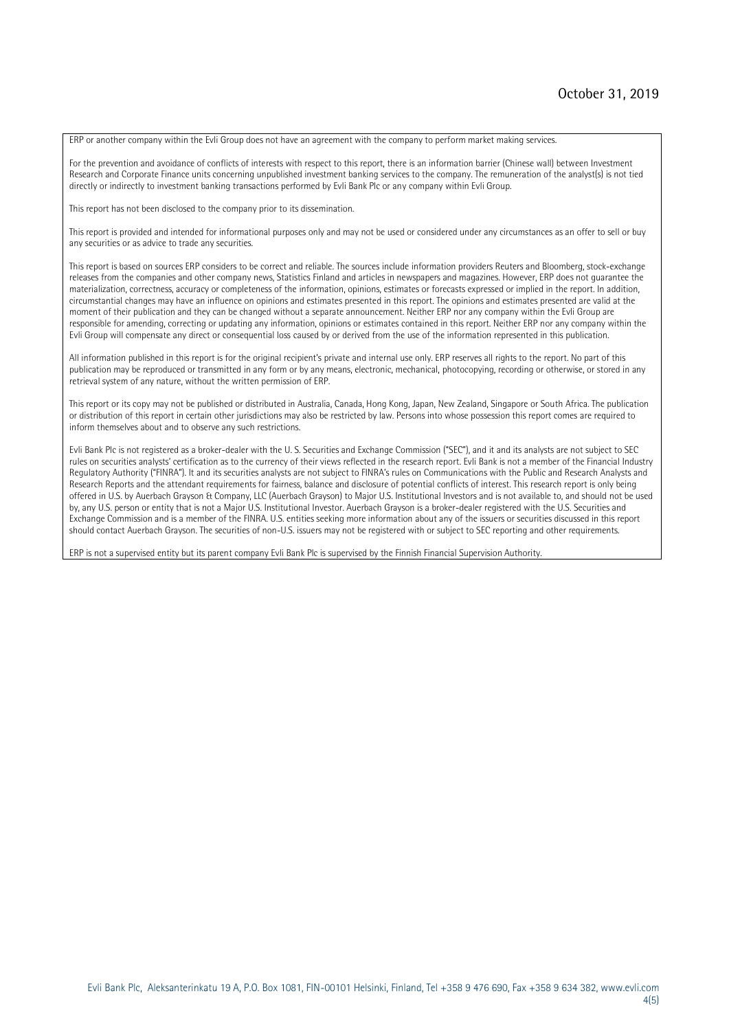ERP or another company within the Evli Group does not have an agreement with the company to perform market making services.

For the prevention and avoidance of conflicts of interests with respect to this report, there is an information barrier (Chinese wall) between Investment Research and Corporate Finance units concerning unpublished investment banking services to the company. The remuneration of the analyst(s) is not tied directly or indirectly to investment banking transactions performed by Evli Bank Plc or any company within Evli Group.

This report has not been disclosed to the company prior to its dissemination.

This report is provided and intended for informational purposes only and may not be used or considered under any circumstances as an offer to sell or buy any securities or as advice to trade any securities.

This report is based on sources ERP considers to be correct and reliable. The sources include information providers Reuters and Bloomberg, stock-exchange releases from the companies and other company news, Statistics Finland and articles in newspapers and magazines. However, ERP does not guarantee the materialization, correctness, accuracy or completeness of the information, opinions, estimates or forecasts expressed or implied in the report. In addition, circumstantial changes may have an influence on opinions and estimates presented in this report. The opinions and estimates presented are valid at the moment of their publication and they can be changed without a separate announcement. Neither ERP nor any company within the Evli Group are responsible for amending, correcting or updating any information, opinions or estimates contained in this report. Neither ERP nor any company within the Evli Group will compensate any direct or consequential loss caused by or derived from the use of the information represented in this publication.

All information published in this report is for the original recipient's private and internal use only. ERP reserves all rights to the report. No part of this publication may be reproduced or transmitted in any form or by any means, electronic, mechanical, photocopying, recording or otherwise, or stored in any retrieval system of any nature, without the written permission of ERP.

This report or its copy may not be published or distributed in Australia, Canada, Hong Kong, Japan, New Zealand, Singapore or South Africa. The publication or distribution of this report in certain other jurisdictions may also be restricted by law. Persons into whose possession this report comes are required to inform themselves about and to observe any such restrictions.

Evli Bank Plc is not registered as a broker-dealer with the U. S. Securities and Exchange Commission ("SEC"), and it and its analysts are not subject to SEC rules on securities analysts' certification as to the currency of their views reflected in the research report. Evli Bank is not a member of the Financial Industry Regulatory Authority ("FINRA"). It and its securities analysts are not subject to FINRA's rules on Communications with the Public and Research Analysts and Research Reports and the attendant requirements for fairness, balance and disclosure of potential conflicts of interest. This research report is only being offered in U.S. by Auerbach Grayson & Company, LLC (Auerbach Grayson) to Major U.S. Institutional Investors and is not available to, and should not be used by, any U.S. person or entity that is not a Major U.S. Institutional Investor. Auerbach Grayson is a broker-dealer registered with the U.S. Securities and Exchange Commission and is a member of the FINRA. U.S. entities seeking more information about any of the issuers or securities discussed in this report should contact Auerbach Grayson. The securities of non-U.S. issuers may not be registered with or subject to SEC reporting and other requirements.

ERP is not a supervised entity but its parent company Evli Bank Plc is supervised by the Finnish Financial Supervision Authority.